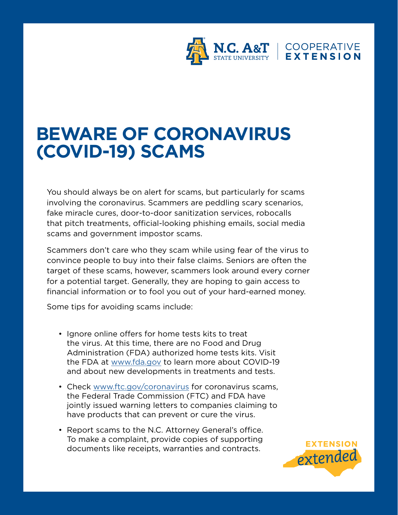

## **BEWARE OF CORONAVIRUS (COVID-19) SCAMS**

You should always be on alert for scams, but particularly for scams involving the coronavirus. Scammers are peddling scary scenarios, fake miracle cures, door-to-door sanitization services, robocalls that pitch treatments, official-looking phishing emails, social media scams and government impostor scams.

Scammers don't care who they scam while using fear of the virus to convince people to buy into their false claims. Seniors are often the target of these scams, however, scammers look around every corner for a potential target. Generally, they are hoping to gain access to financial information or to fool you out of your hard-earned money.

Some tips for avoiding scams include:

- Ignore online offers for home tests kits to treat the virus. At this time, there are no Food and Drug Administration (FDA) authorized home tests kits. Visit the FDA at [www.fda.gov](http://www.fda.gov) to learn more about COVID-19 and about new developments in treatments and tests.
- Check [www.ftc.gov/coronavirus](http://www.ftc.gov/coronavirus) for coronavirus scams, the Federal Trade Commission (FTC) and FDA have jointly issued warning letters to companies claiming to have products that can prevent or cure the virus.
- Report scams to the N.C. Attorney General's office. To make a complaint, provide copies of supporting documents like receipts, warranties and contracts.